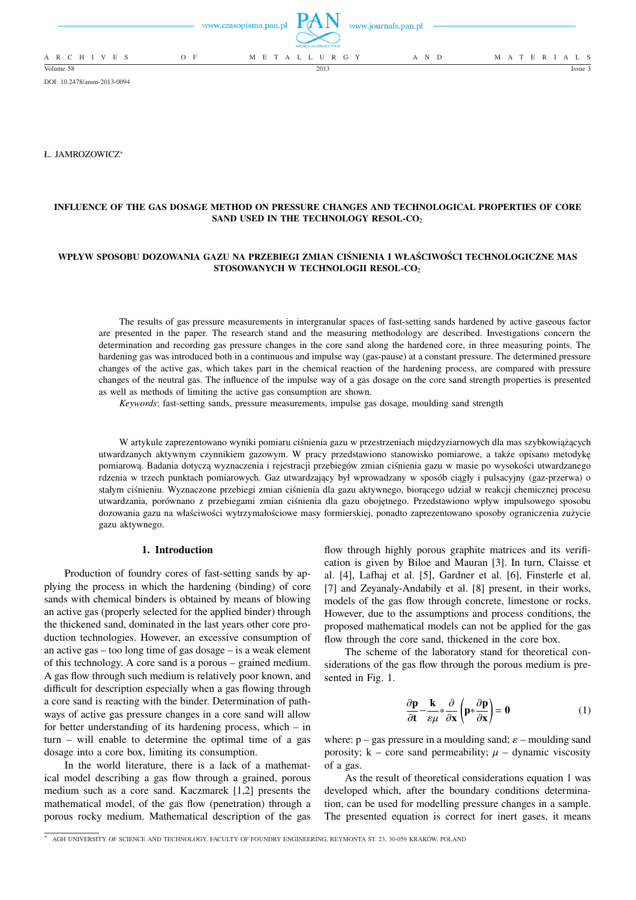|                 | www.czasopisma.pan.pl<br>www.journals.pan.pl<br>POLSKA AKADEMIA NAUK |  |                     |  |       |                   |         |
|-----------------|----------------------------------------------------------------------|--|---------------------|--|-------|-------------------|---------|
| A R C H I V E S | O F                                                                  |  | M E T A L L U R G Y |  | A N D | M A T E R I A L S |         |
| Volume 58       |                                                                      |  | 2013                |  |       |                   | Issue 3 |

DOI: 10.2478/amm-2013-0094

Ł. JAMROZOWICZ<sup>∗</sup>

## **INFLUENCE OF THE GAS DOSAGE METHOD ON PRESSURE CHANGES AND TECHNOLOGICAL PROPERTIES OF CORE SAND USED IN THE TECHNOLOGY RESOL-CO2**

# **WPŁYW SPOSOBU DOZOWANIA GAZU NA PRZEBIEGI ZMIAN CIŚNIENIA I WŁAŚCIWOŚCI TECHNOLOGICZNE MAS STOSOWANYCH W TECHNOLOGII RESOL-CO**<sup>2</sup>

The results of gas pressure measurements in intergranular spaces of fast-setting sands hardened by active gaseous factor are presented in the paper. The research stand and the measuring methodology are described. Investigations concern the determination and recording gas pressure changes in the core sand along the hardened core, in three measuring points. The hardening gas was introduced both in a continuous and impulse way (gas-pause) at a constant pressure. The determined pressure changes of the active gas, which takes part in the chemical reaction of the hardening process, are compared with pressure changes of the neutral gas. The influence of the impulse way of a gas dosage on the core sand strength properties is presented as well as methods of limiting the active gas consumption are shown.

*Keywords*: fast-setting sands, pressure measurements, impulse gas dosage, moulding sand strength

W artykule zaprezentowano wyniki pomiaru ciśnienia gazu w przestrzeniach międzyziarnowych dla mas szybkowiążących utwardzanych aktywnym czynnikiem gazowym. W pracy przedstawiono stanowisko pomiarowe, a także opisano metodykę pomiarową. Badania dotyczą wyznaczenia i rejestracji przebiegów zmian ciśnienia gazu w masie po wysokości utwardzanego rdzenia w trzech punktach pomiarowych. Gaz utwardzający był wprowadzany w sposób ciągły i pulsacyjny (gaz-przerwa) o stałym ciśnieniu. Wyznaczone przebiegi zmian ciśnienia dla gazu aktywnego, biorącego udział w reakcji chemicznej procesu utwardzania, porównano z przebiegami zmian ciśnienia dla gazu obojętnego. Przedstawiono wpływ impulsowego sposobu dozowania gazu na właściwości wytrzymałościowe masy formierskiej, ponadto zaprezentowano sposoby ograniczenia zużycie gazu aktywnego.

#### **1. Introduction**

Production of foundry cores of fast-setting sands by applying the process in which the hardening (binding) of core sands with chemical binders is obtained by means of blowing an active gas (properly selected for the applied binder) through the thickened sand, dominated in the last years other core production technologies. However, an excessive consumption of an active gas – too long time of gas dosage – is a weak element of this technology. A core sand is a porous – grained medium. A gas flow through such medium is relatively poor known, and difficult for description especially when a gas flowing through a core sand is reacting with the binder. Determination of pathways of active gas pressure changes in a core sand will allow for better understanding of its hardening process, which – in turn – will enable to determine the optimal time of a gas dosage into a core box, limiting its consumption.

In the world literature, there is a lack of a mathematical model describing a gas flow through a grained, porous medium such as a core sand. Kaczmarek [1,2] presents the mathematical model, of the gas flow (penetration) through a porous rocky medium. Mathematical description of the gas flow through highly porous graphite matrices and its verification is given by Biloe and Mauran [3]. In turn, Claisse et al. [4], Lafhaj et al. [5], Gardner et al. [6], Finsterle et al. [7] and Zeyanaly-Andabily et al. [8] present, in their works, models of the gas flow through concrete, limestone or rocks. However, due to the assumptions and process conditions, the proposed mathematical models can not be applied for the gas flow through the core sand, thickened in the core box.

The scheme of the laboratory stand for theoretical considerations of the gas flow through the porous medium is presented in Fig. 1.

$$
\frac{\partial \mathbf{p}}{\partial \mathbf{t}} - \frac{\mathbf{k}}{\varepsilon \mu} * \frac{\partial}{\partial \mathbf{x}} \left( \mathbf{p} * \frac{\partial \mathbf{p}}{\partial \mathbf{x}} \right) = \mathbf{0}
$$
 (1)

where:  $p - gas$  pressure in a moulding sand;  $\varepsilon$  – moulding sand porosity; k – core sand permeability;  $\mu$  – dynamic viscosity of a gas.

As the result of theoretical considerations equation 1 was developed which, after the boundary conditions determination, can be used for modelling pressure changes in a sample. The presented equation is correct for inert gases, it means

<sup>∗</sup> AGH UNIVERSITY OF SCIENCE AND TECHNOLOGY, FACULTY OF FOUNDRY ENGINEERING, REYMONTA ST. 23, 30-059 KRAKÓW, POLAND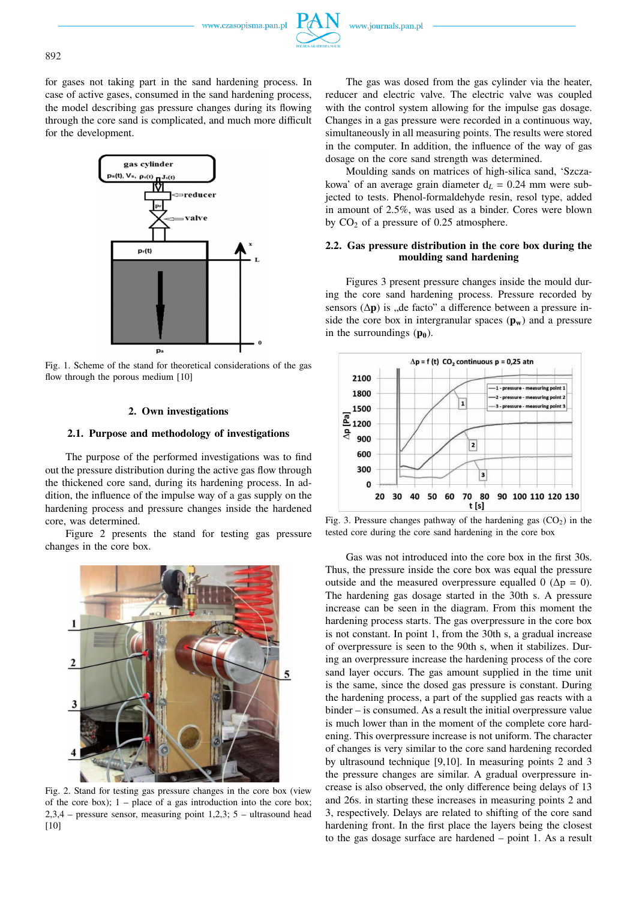for gases not taking part in the sand hardening process. In case of active gases, consumed in the sand hardening process, the model describing gas pressure changes during its flowing through the core sand is complicated, and much more difficult for the development.



Fig. 1. Scheme of the stand for theoretical considerations of the gas flow through the porous medium [10]

### **2. Own investigations**

### **2.1. Purpose and methodology of investigations**

The purpose of the performed investigations was to find out the pressure distribution during the active gas flow through the thickened core sand, during its hardening process. In addition, the influence of the impulse way of a gas supply on the hardening process and pressure changes inside the hardened core, was determined.

Figure 2 presents the stand for testing gas pressure changes in the core box.



Fig. 2. Stand for testing gas pressure changes in the core box (view of the core box);  $1$  – place of a gas introduction into the core box; 2,3,4 – pressure sensor, measuring point 1,2,3; 5 – ultrasound head [10]

The gas was dosed from the gas cylinder via the heater, reducer and electric valve. The electric valve was coupled with the control system allowing for the impulse gas dosage. Changes in a gas pressure were recorded in a continuous way, simultaneously in all measuring points. The results were stored in the computer. In addition, the influence of the way of gas dosage on the core sand strength was determined.

Moulding sands on matrices of high-silica sand, 'Szczakowa' of an average grain diameter  $d_L = 0.24$  mm were subjected to tests. Phenol-formaldehyde resin, resol type, added in amount of 2.5%, was used as a binder. Cores were blown by  $CO<sub>2</sub>$  of a pressure of 0.25 atmosphere.

## **2.2. Gas pressure distribution in the core box during the moulding sand hardening**

Figures 3 present pressure changes inside the mould during the core sand hardening process. Pressure recorded by sensors  $(\Delta p)$  is "de facto" a difference between a pressure inside the core box in intergranular spaces  $(\mathbf{p_w})$  and a pressure in the surroundings  $(p_0)$ .



Fig. 3. Pressure changes pathway of the hardening gas  $(CO<sub>2</sub>)$  in the tested core during the core sand hardening in the core box

Gas was not introduced into the core box in the first 30s. Thus, the pressure inside the core box was equal the pressure outside and the measured overpressure equalled 0 ( $\Delta p = 0$ ). The hardening gas dosage started in the 30th s. A pressure increase can be seen in the diagram. From this moment the hardening process starts. The gas overpressure in the core box is not constant. In point 1, from the 30th s, a gradual increase of overpressure is seen to the 90th s, when it stabilizes. During an overpressure increase the hardening process of the core sand layer occurs. The gas amount supplied in the time unit is the same, since the dosed gas pressure is constant. During the hardening process, a part of the supplied gas reacts with a binder – is consumed. As a result the initial overpressure value is much lower than in the moment of the complete core hardening. This overpressure increase is not uniform. The character of changes is very similar to the core sand hardening recorded by ultrasound technique [9,10]. In measuring points 2 and 3 the pressure changes are similar. A gradual overpressure increase is also observed, the only difference being delays of 13 and 26s. in starting these increases in measuring points 2 and 3, respectively. Delays are related to shifting of the core sand hardening front. In the first place the layers being the closest to the gas dosage surface are hardened – point 1. As a result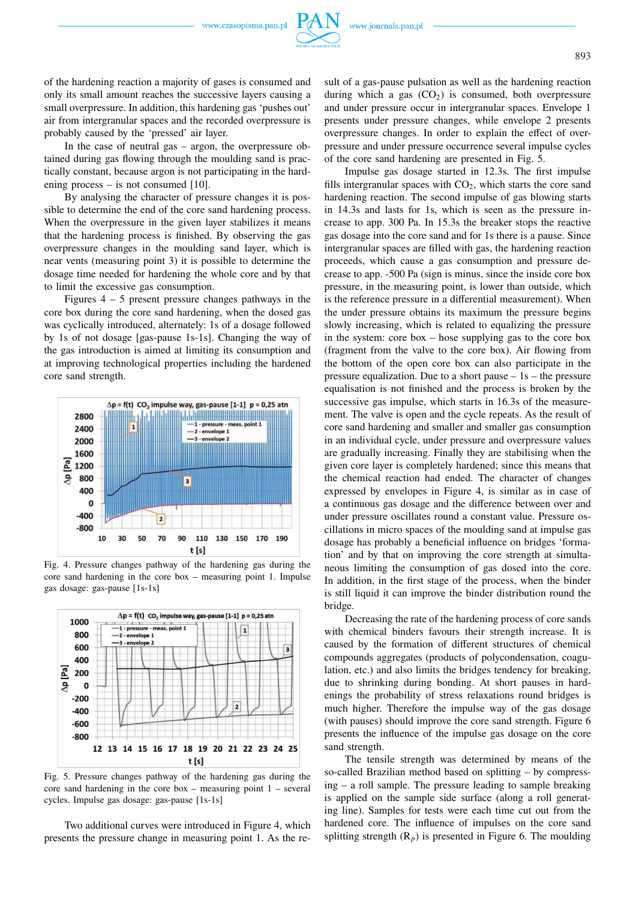of the hardening reaction a majority of gases is consumed and only its small amount reaches the successive layers causing a small overpressure. In addition, this hardening gas 'pushes out' air from intergranular spaces and the recorded overpressure is probably caused by the 'pressed' air layer.

In the case of neutral gas – argon, the overpressure obtained during gas flowing through the moulding sand is practically constant, because argon is not participating in the hardening process – is not consumed [10].

By analysing the character of pressure changes it is possible to determine the end of the core sand hardening process. When the overpressure in the given layer stabilizes it means that the hardening process is finished. By observing the gas overpressure changes in the moulding sand layer, which is near vents (measuring point 3) it is possible to determine the dosage time needed for hardening the whole core and by that to limit the excessive gas consumption.

Figures  $4 - 5$  present pressure changes pathways in the core box during the core sand hardening, when the dosed gas was cyclically introduced, alternately: 1s of a dosage followed by 1s of not dosage [gas-pause 1s-1s]. Changing the way of the gas introduction is aimed at limiting its consumption and at improving technological properties including the hardened core sand strength.



Fig. 4. Pressure changes pathway of the hardening gas during the core sand hardening in the core box – measuring point 1. Impulse gas dosage: gas-pause [1s-1s]



Fig. 5. Pressure changes pathway of the hardening gas during the core sand hardening in the core box – measuring point 1 – several cycles. Impulse gas dosage: gas-pause [1s-1s]

Two additional curves were introduced in Figure 4, which presents the pressure change in measuring point 1. As the result of a gas-pause pulsation as well as the hardening reaction during which a gas  $(CO<sub>2</sub>)$  is consumed, both overpressure and under pressure occur in intergranular spaces. Envelope 1 presents under pressure changes, while envelope 2 presents overpressure changes. In order to explain the effect of overpressure and under pressure occurrence several impulse cycles of the core sand hardening are presented in Fig. 5.

Impulse gas dosage started in 12.3s. The first impulse fills intergranular spaces with  $CO<sub>2</sub>$ , which starts the core sand hardening reaction. The second impulse of gas blowing starts in 14.3s and lasts for 1s, which is seen as the pressure increase to app. 300 Pa. In 15.3s the breaker stops the reactive gas dosage into the core sand and for 1s there is a pause. Since intergranular spaces are filled with gas, the hardening reaction proceeds, which cause a gas consumption and pressure decrease to app. -500 Pa (sign is minus, since the inside core box pressure, in the measuring point, is lower than outside, which is the reference pressure in a differential measurement). When the under pressure obtains its maximum the pressure begins slowly increasing, which is related to equalizing the pressure in the system: core box – hose supplying gas to the core box (fragment from the valve to the core box). Air flowing from the bottom of the open core box can also participate in the pressure equalization. Due to a short pause – 1s – the pressure equalisation is not finished and the process is broken by the successive gas impulse, which starts in 16.3s of the measurement. The valve is open and the cycle repeats. As the result of core sand hardening and smaller and smaller gas consumption in an individual cycle, under pressure and overpressure values are gradually increasing. Finally they are stabilising when the given core layer is completely hardened; since this means that the chemical reaction had ended. The character of changes expressed by envelopes in Figure 4, is similar as in case of a continuous gas dosage and the difference between over and under pressure oscillates round a constant value. Pressure oscillations in micro spaces of the moulding sand at impulse gas dosage has probably a beneficial influence on bridges 'formation' and by that on improving the core strength at simultaneous limiting the consumption of gas dosed into the core. In addition, in the first stage of the process, when the binder is still liquid it can improve the binder distribution round the bridge.

Decreasing the rate of the hardening process of core sands with chemical binders favours their strength increase. It is caused by the formation of different structures of chemical compounds aggregates (products of polycondensation, coagulation, etc.) and also limits the bridges tendency for breaking, due to shrinking during bonding. At short pauses in hardenings the probability of stress relaxations round bridges is much higher. Therefore the impulse way of the gas dosage (with pauses) should improve the core sand strength. Figure 6 presents the influence of the impulse gas dosage on the core sand strength.

The tensile strength was determined by means of the so-called Brazilian method based on splitting – by compressing – a roll sample. The pressure leading to sample breaking is applied on the sample side surface (along a roll generating line). Samples for tests were each time cut out from the hardened core. The influence of impulses on the core sand splitting strength  $(R_p)$  is presented in Figure 6. The moulding